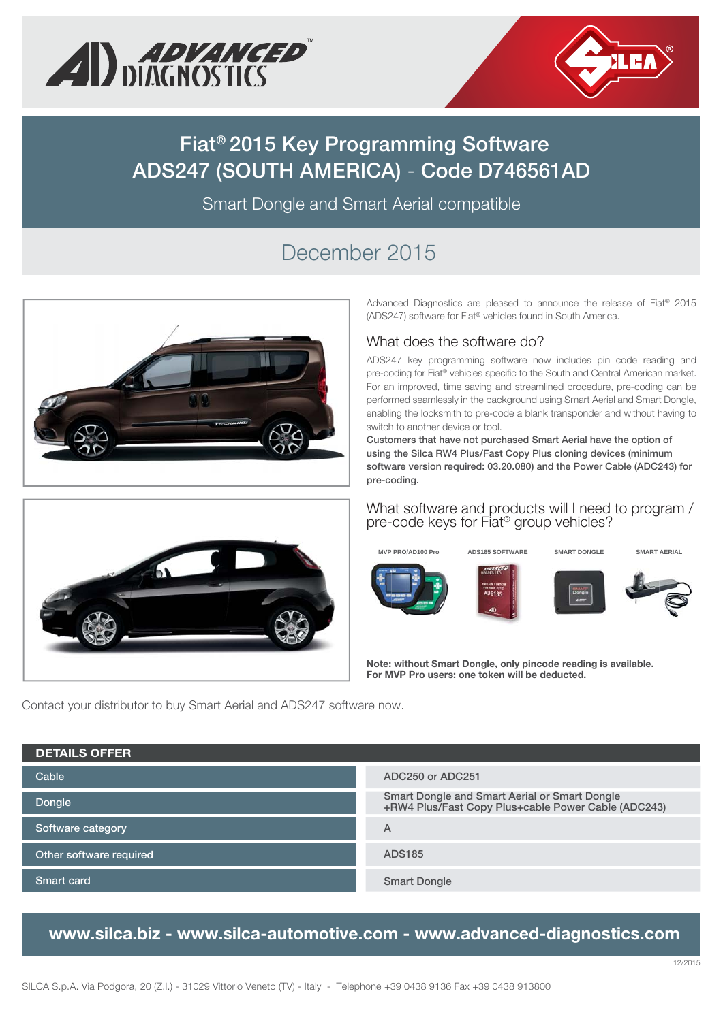



# **Fiat® 2015 Key Programming Software ADS247 (SOUTH AMERICA)** - **Code D746561AD**

Smart Dongle and Smart Aerial compatible

# December 2015



Advanced Diagnostics are pleased to announce the release of Fiat® 2015 (ADS247) software for Fiat® vehicles found in South America.

#### What does the software do?

ADS247 key programming software now includes pin code reading and pre-coding for Fiat® vehicles specific to the South and Central American market. For an improved, time saving and streamlined procedure, pre-coding can be performed seamlessly in the background using Smart Aerial and Smart Dongle, enabling the locksmith to pre-code a blank transponder and without having to switch to another device or tool.

**Customers that have not purchased Smart Aerial have the option of using the Silca RW4 Plus/Fast Copy Plus cloning devices (minimum software version required: 03.20.080) and the Power Cable (ADC243) for pre-coding.**

#### What software and products will I need to program / pre-code keys for Fiat® group vehicles?



**MVP PRO/AD100 Pro ADS185 SOFTWARE SMART DONGLE SMART AERIAL**





















**Note: without Smart Dongle, only pincode reading is available. For MVP Pro users: one token will be deducted.**

Contact your distributor to buy Smart Aerial and ADS247 software now.

| <b>DETAILS OFFER</b>    |                                                                                                      |
|-------------------------|------------------------------------------------------------------------------------------------------|
| Cable                   | ADC250 or ADC251                                                                                     |
| Dongle                  | Smart Dongle and Smart Aerial or Smart Dongle<br>+RW4 Plus/Fast Copy Plus+cable Power Cable (ADC243) |
| Software category       | Α                                                                                                    |
| Other software required | <b>ADS185</b>                                                                                        |
| Smart card              | <b>Smart Dongle</b>                                                                                  |

### **www.silca.biz - www.silca-automotive.com - www.advanced-diagnostics.com**

12/2015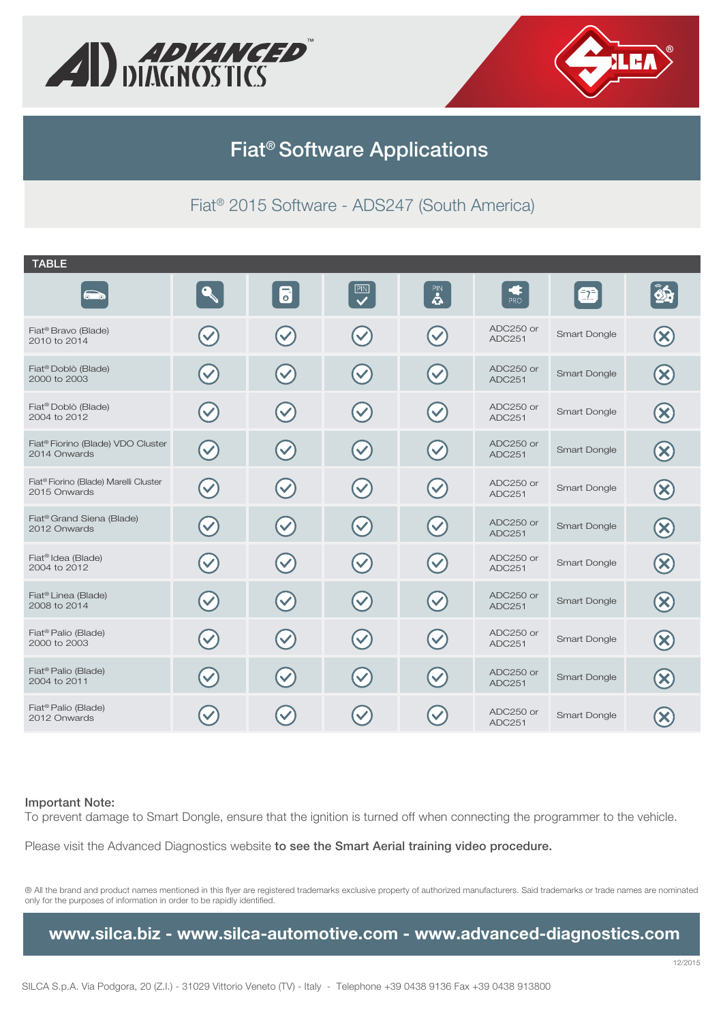



# **Fiat® Software Applications**

### Fiat® 2015 Software - ADS247 (South America)

| <b>TABLE</b>                                                      |                      |                           |                           |                           |                     |              |  |
|-------------------------------------------------------------------|----------------------|---------------------------|---------------------------|---------------------------|---------------------|--------------|--|
|                                                                   |                      | $\overline{\bullet}$      | $\overline{\mathbf{v}}$   | $\mathbf{S}$              | PRO                 | 2            |  |
| Fiat <sup>®</sup> Bravo (Blade)<br>2010 to 2014                   |                      | $\blacktriangledown$      |                           | $\blacktriangledown$      | ADC250 or<br>ADC251 | Smart Dongle |  |
| Fiat <sup>®</sup> Doblò (Blade)<br>2000 to 2003                   | $\blacktriangledown$ | $\blacktriangledown$      | $\blacktriangledown$      | $\blacktriangledown$      | ADC250 or<br>ADC251 | Smart Dongle |  |
| Fiat <sup>®</sup> Doblò (Blade)<br>2004 to 2012                   | $\checkmark$         | $\blacktriangledown$      |                           | $\blacktriangledown$      | ADC250 or<br>ADC251 | Smart Dongle |  |
| Fiat <sup>®</sup> Fiorino (Blade) VDO Cluster<br>2014 Onwards     | $\blacktriangledown$ | $\blacktriangledown$      | $\blacktriangledown$      | $\blacktriangledown$      | ADC250 or<br>ADC251 | Smart Dongle |  |
| Fiat <sup>®</sup> Fiorino (Blade) Marelli Cluster<br>2015 Onwards | $\blacktriangledown$ | $\blacktriangledown$      | $\blacktriangledown$      | $\blacktriangledown$      | ADC250 or<br>ADC251 | Smart Dongle |  |
| Fiat <sup>®</sup> Grand Siena (Blade)<br>2012 Onwards             | $\blacktriangledown$ | $\blacktriangledown$      | $\blacktriangledown$      | $\blacktriangledown$      | ADC250 or<br>ADC251 | Smart Dongle |  |
| Fiat <sup>®</sup> Idea (Blade)<br>2004 to 2012                    | $\blacktriangledown$ | $\blacktriangledown$      | $\blacktriangledown$      | $\blacktriangledown$      | ADC250 or<br>ADC251 | Smart Dongle |  |
| Fiat <sup>®</sup> Linea (Blade)<br>2008 to 2014                   | $\blacktriangledown$ | $\left(\checkmark\right)$ | $\left(\checkmark\right)$ | $\left(\checkmark\right)$ | ADC250 or<br>ADC251 | Smart Dongle |  |
| Fiat <sup>®</sup> Palio (Blade)<br>2000 to 2003                   | $\blacktriangledown$ | $\blacktriangledown$      | $\left( \bigvee \right)$  | $\blacktriangledown$      | ADC250 or<br>ADC251 | Smart Dongle |  |
| Fiat <sup>®</sup> Palio (Blade)<br>2004 to 2011                   | $\blacktriangledown$ | $\blacktriangledown$      | $\left( \bigvee \right)$  | $\blacktriangledown$      | ADC250 or<br>ADC251 | Smart Dongle |  |
| Fiat <sup>®</sup> Palio (Blade)<br>2012 Onwards                   |                      |                           |                           |                           | ADC250 or<br>ADC251 | Smart Dongle |  |

#### **Important Note:**

To prevent damage to Smart Dongle, ensure that the ignition is turned off when connecting the programmer to the vehicle.

Please visit the Advanced Diagnostics website **to see the Smart Aerial training video procedure.**

® All the brand and product names mentioned in this flyer are registered trademarks exclusive property of authorized manufacturers. Said trademarks or trade names are nominated only for the purposes of information in order to be rapidly identified.

### **www.silca.biz - www.silca-automotive.com - www.advanced-diagnostics.com**